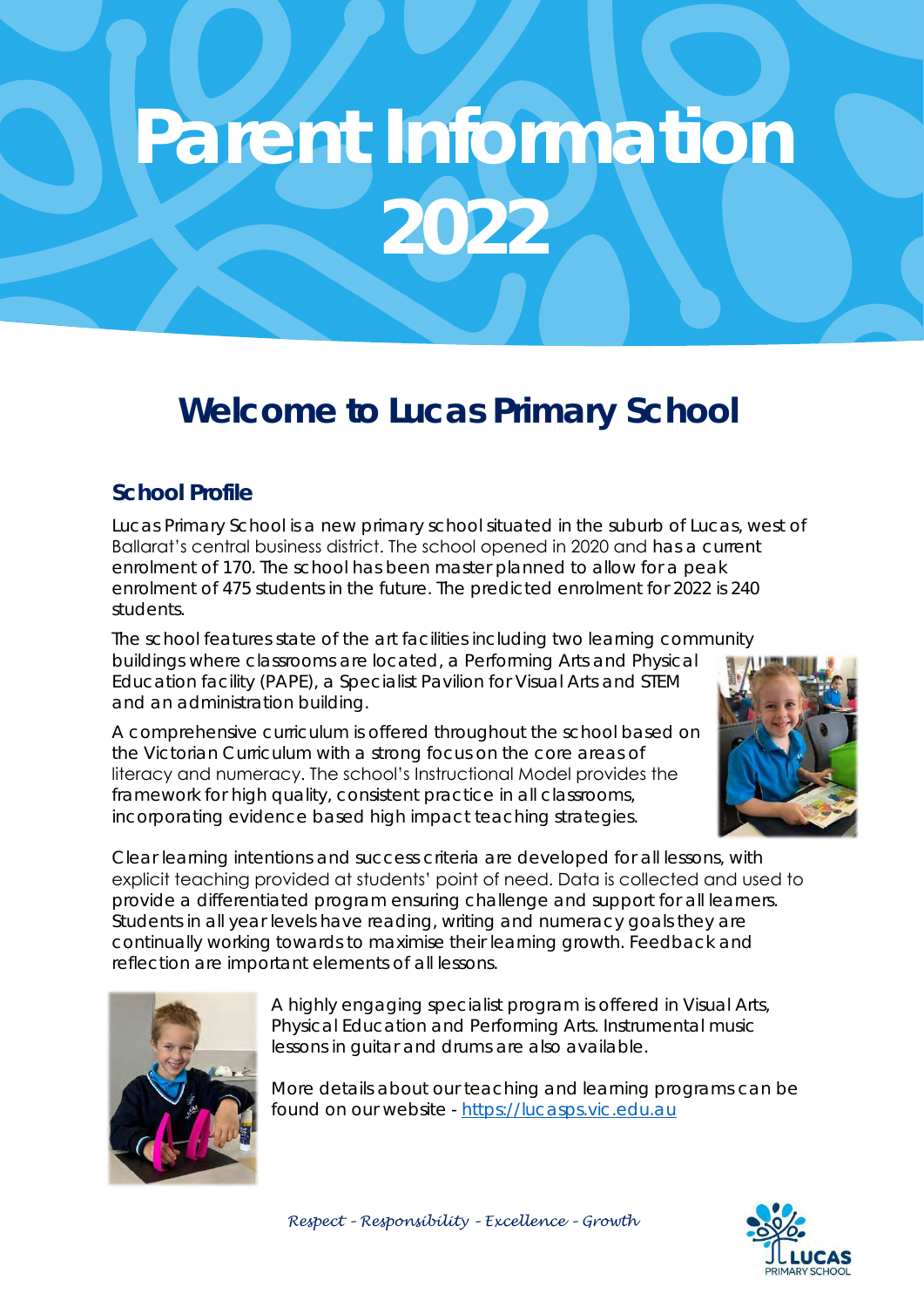# **Parent Information 2022**

## **Welcome to Lucas Primary School**

#### **School Profile**

Lucas Primary School is a new primary school situated in the suburb of Lucas, west of Ballarat's central business district. The school opened in 2020 and has a current enrolment of 170. The school has been master planned to allow for a peak enrolment of 475 students in the future. The predicted enrolment for 2022 is 240 students.

The school features state of the art facilities including two learning community buildings where classrooms are located, a Performing Arts and Physical Education facility (PAPE), a Specialist Pavilion for Visual Arts and STEM and an administration building.

A comprehensive curriculum is offered throughout the school based on the Victorian Curriculum with a strong focus on the core areas of literacy and numeracy. The school's Instructional Model provides the framework for high quality, consistent practice in all classrooms, incorporating evidence based high impact teaching strategies.



Clear learning intentions and success criteria are developed for all lessons, with explicit teaching provided at students' point of need. Data is collected and used to provide a differentiated program ensuring challenge and support for all learners. Students in all year levels have reading, writing and numeracy goals they are continually working towards to maximise their learning growth. Feedback and reflection are important elements of all lessons.



A highly engaging specialist program is offered in Visual Arts, Physical Education and Performing Arts. Instrumental music lessons in guitar and drums are also available.

More details about our teaching and learning programs can be found on our website - [https://lucasps.vic.edu.au](https://lucasps.vic.edu.au/)



*Respect – Responsibility – Excellence – Growth*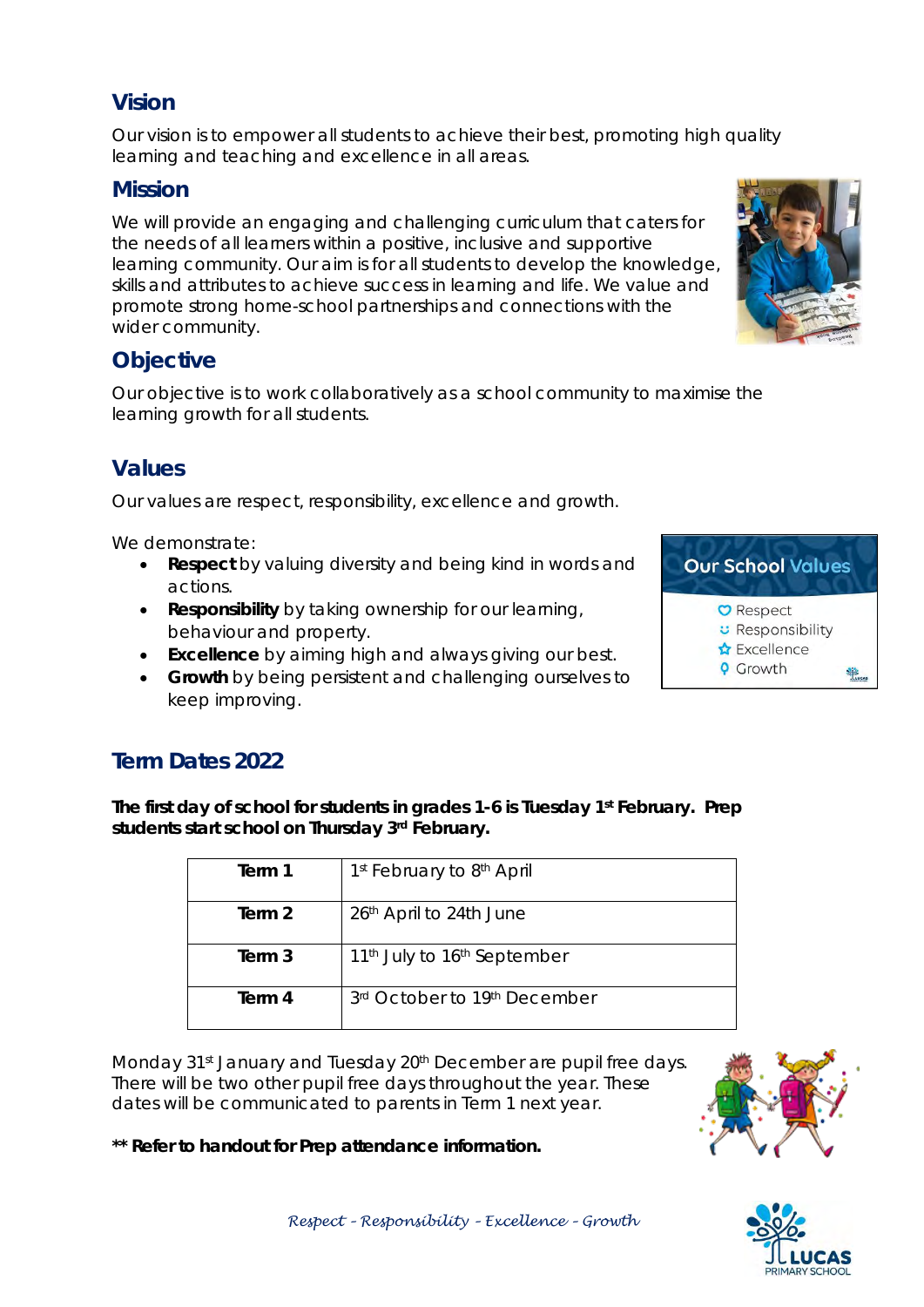#### **Vision**

Our vision is to empower all students to achieve their best, promoting high quality learning and teaching and excellence in all areas.

#### **Mission**

We will provide an engaging and challenging curriculum that caters for the needs of all learners within a positive, inclusive and supportive learning community. Our aim is for all students to develop the knowledge, skills and attributes to achieve success in learning and life. We value and promote strong home-school partnerships and connections with the wider community.

#### **Objective**

Our objective is to work collaboratively as a school community to maximise the learning growth for all students.

#### **Values**

Our values are respect, responsibility, excellence and growth.

We demonstrate:

- *Respect* by valuing diversity and being kind in words and actions.
- *Responsibility* by taking ownership for our learning, behaviour and property.
- *Excellence* by aiming high and always giving our best.
- *Growth* by being persistent and challenging ourselves to keep improving.

#### **Term Dates 2022**

**The first day of school for students in grades 1-6 is Tuesday 1st February. Prep students start school on Thursday 3rd February.**

| Term 1 | 1 <sup>st</sup> February to 8 <sup>th</sup> April   |
|--------|-----------------------------------------------------|
| Term 2 | 26th April to 24th June                             |
| Term 3 | 11 <sup>th</sup> July to 16 <sup>th</sup> September |
| Term 4 | 3rd October to 19th December                        |

Monday 31<sup>st</sup> January and Tuesday 20<sup>th</sup> December are pupil free days. There will be two other pupil free days throughout the year. These dates will be communicated to parents in Term 1 next year.

**\*\* Refer to handout for Prep attendance information.** 





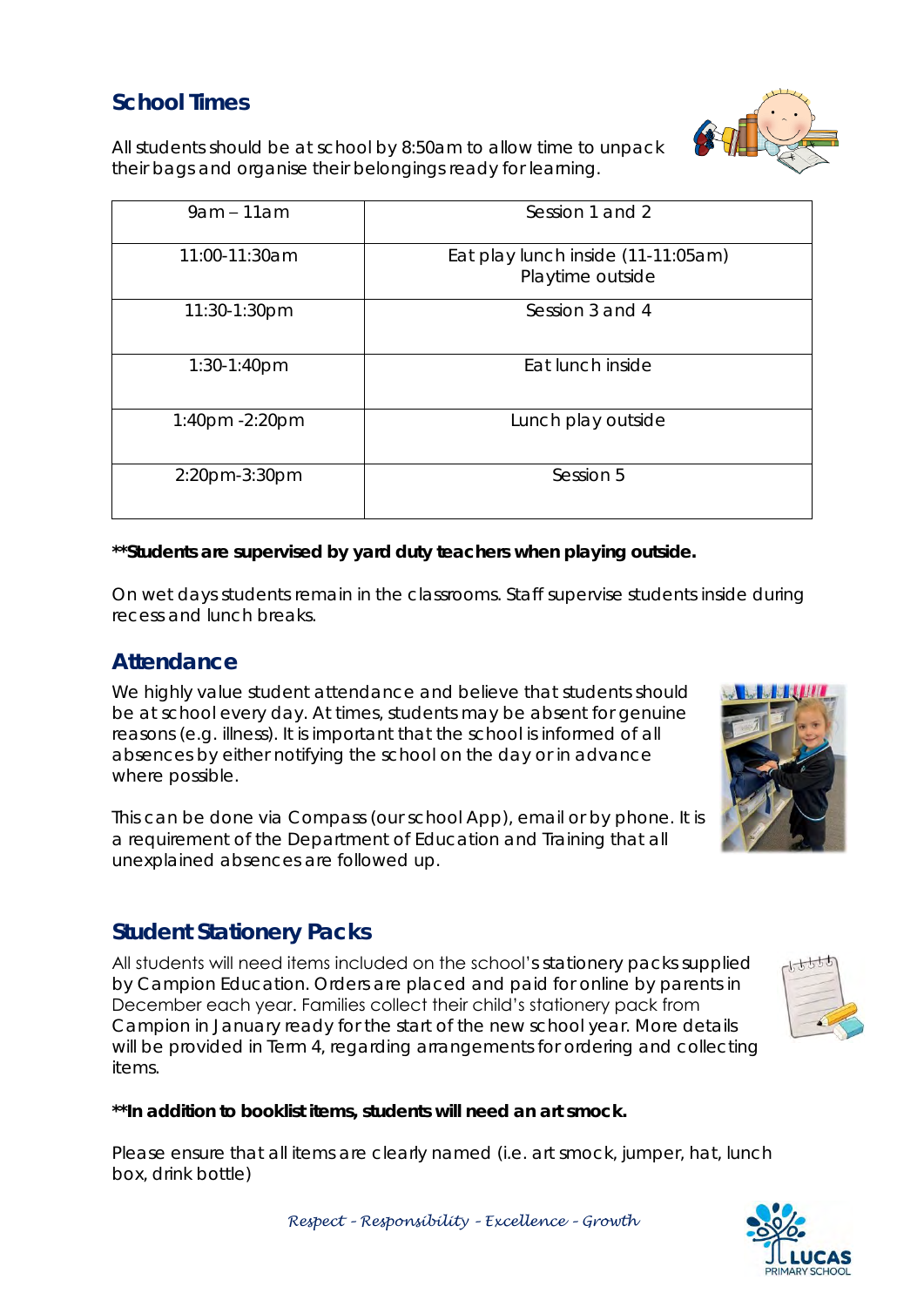### **School Times**

All students should be at school by 8:50am to allow time to unpack their bags and organise their belongings ready for learning.

| $9am - 11am$   | Session 1 and 2                                        |
|----------------|--------------------------------------------------------|
| 11:00-11:30am  | Eat play lunch inside (11-11:05am)<br>Playtime outside |
| 11:30-1:30pm   | Session 3 and 4                                        |
| $1:30-1:40$ pm | Eat lunch inside                                       |
| 1:40pm -2:20pm | Lunch play outside                                     |
| 2:20pm-3:30pm  | Session 5                                              |

**\*\*Students are supervised by yard duty teachers when playing outside.**

On wet days students remain in the classrooms. Staff supervise students inside during recess and lunch breaks.

#### **Attendance**

We highly value student attendance and believe that students should be at school every day. At times, students may be absent for genuine reasons (e.g. illness). It is important that the school is informed of all absences by either notifying the school on the day or in advance where possible.

This can be done via Compass (our school App), email or by phone. It is a requirement of the Department of Education and Training that all unexplained absences are followed up.

#### **Student Stationery Packs**

All students will need items included on the school's stationery packs supplied by Campion Education. Orders are placed and paid for online by parents in December each year. Families collect their child's stationery pack from Campion in January ready for the start of the new school year. More details will be provided in Term 4, regarding arrangements for ordering and collecting items.

**\*\*In addition to booklist items, students will need an art smock.**

Please ensure that all items are clearly named (i.e. art smock, jumper, hat, lunch box, drink bottle)







*Respect – Responsibility – Excellence – Growth*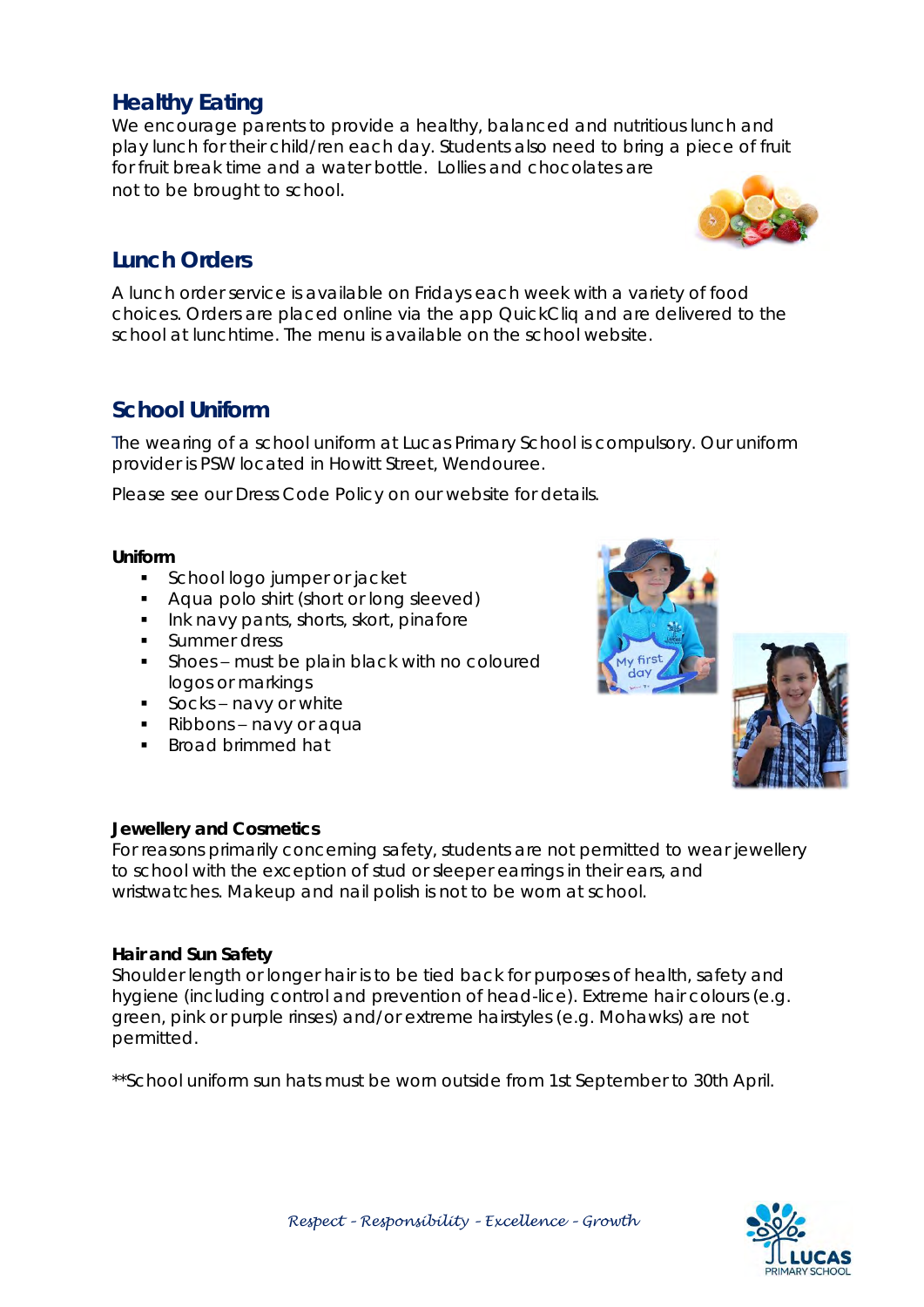#### **Healthy Eating**

We encourage parents to provide a healthy, balanced and nutritious lunch and play lunch for their child/ren each day. Students also need to bring a piece of fruit for fruit break time and a water bottle. Lollies and chocolates are not to be brought to school.

#### **Lunch Orders**

A lunch order service is available on Fridays each week with a variety of food choices. Orders are placed online via the app QuickCliq and are delivered to the school at lunchtime. The menu is available on the school website.

#### **School Uniform**

The wearing of a school uniform at Lucas Primary School is compulsory. Our uniform provider is PSW located in Howitt Street, Wendouree.

Please see our Dress Code Policy on our website for details.

**Uniform**

- School logo jumper or jacket
- **Aqua polo shirt (short or long sleeved)**
- Ink navy pants, shorts, skort, pinafore
- **Summer dress**
- Shoes must be plain black with no coloured logos or markings
- **Socks-navy or white**
- Ribbons navy or aqua
- **Broad brimmed hat**

#### **Jewellery and Cosmetics**

For reasons primarily concerning safety, students are not permitted to wear jewellery to school with the exception of stud or sleeper earrings in their ears, and wristwatches. Makeup and nail polish is not to be worn at school.

**Hair and Sun Safety** 

Shoulder length or longer hair is to be tied back for purposes of health, safety and hygiene (including control and prevention of head-lice). Extreme hair colours (e.g. green, pink or purple rinses) and/or extreme hairstyles (e.g. Mohawks) are not permitted.

\*\*School uniform sun hats must be worn outside from 1st September to 30th April.